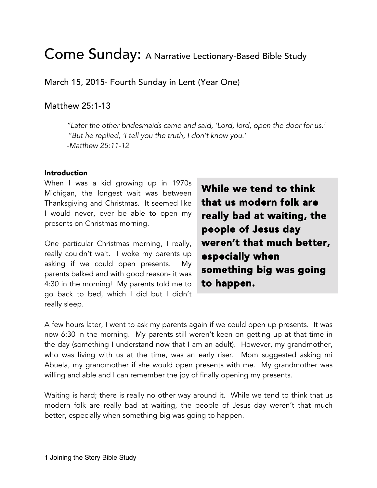# Come Sunday: A Narrative Lectionary-Based Bible Study

March 15, 2015- Fourth Sunday in Lent (Year One)

## Matthew 25:1-13

*"Later the other bridesmaids came and said, 'Lord, lord, open the door for us.' "But he replied, 'I tell you the truth, I don't know you.' -Matthew 25:11-12*

#### Introduction

When I was a kid growing up in 1970s Michigan, the longest wait was between Thanksgiving and Christmas. It seemed like I would never, ever be able to open my presents on Christmas morning.

One particular Christmas morning, I really, really couldn't wait. I woke my parents up asking if we could open presents. My parents balked and with good reason- it was 4:30 in the morning! My parents told me to go back to bed, which I did but I didn't really sleep.

While we tend to think that us modern folk are really bad at waiting, the people of Jesus day weren't that much better, especially when something big was going to happen.

A few hours later, I went to ask my parents again if we could open up presents. It was now 6:30 in the morning. My parents still weren't keen on getting up at that time in the day (something I understand now that I am an adult). However, my grandmother, who was living with us at the time, was an early riser. Mom suggested asking mi Abuela, my grandmother if she would open presents with me. My grandmother was willing and able and I can remember the joy of finally opening my presents.

Waiting is hard; there is really no other way around it. While we tend to think that us modern folk are really bad at waiting, the people of Jesus day weren't that much better, especially when something big was going to happen.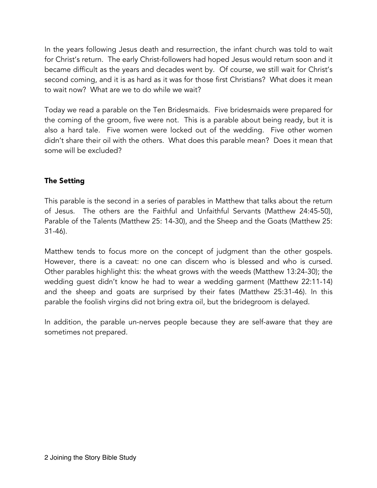In the years following Jesus death and resurrection, the infant church was told to wait for Christ's return. The early Christ-followers had hoped Jesus would return soon and it became difficult as the years and decades went by. Of course, we still wait for Christ's second coming, and it is as hard as it was for those first Christians? What does it mean to wait now? What are we to do while we wait?

Today we read a parable on the Ten Bridesmaids. Five bridesmaids were prepared for the coming of the groom, five were not. This is a parable about being ready, but it is also a hard tale. Five women were locked out of the wedding. Five other women didn't share their oil with the others. What does this parable mean? Does it mean that some will be excluded?

## The Setting

This parable is the second in a series of parables in Matthew that talks about the return of Jesus. The others are the Faithful and Unfaithful Servants (Matthew 24:45-50), Parable of the Talents (Matthew 25: 14-30), and the Sheep and the Goats (Matthew 25: 31-46).

Matthew tends to focus more on the concept of judgment than the other gospels. However, there is a caveat: no one can discern who is blessed and who is cursed. Other parables highlight this: the wheat grows with the weeds (Matthew 13:24-30); the wedding guest didn't know he had to wear a wedding garment (Matthew 22:11-14) and the sheep and goats are surprised by their fates (Matthew 25:31-46). In this parable the foolish virgins did not bring extra oil, but the bridegroom is delayed.

In addition, the parable un-nerves people because they are self-aware that they are sometimes not prepared.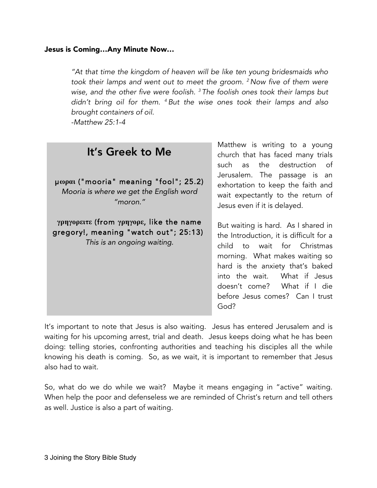#### Jesus is Coming…Any Minute Now…

*"At that time the kingdom of heaven will be like ten young bridesmaids who took their lamps and went out to meet the groom. <sup>2</sup> Now five of them were wise, and the other five were foolish. <sup>3</sup> The foolish ones took their lamps but didn't bring oil for them. <sup>4</sup> But the wise ones took their lamps and also brought containers of oil.*

young

*-Matthew 25:1-4*

| It's Greek to Me                                                                                                | Matthew is writing to a young<br>church that has faced many trials<br>such as the destruction of                                                                                                                                                                                      |
|-----------------------------------------------------------------------------------------------------------------|---------------------------------------------------------------------------------------------------------------------------------------------------------------------------------------------------------------------------------------------------------------------------------------|
| μωραι ("mooria" meaning "fool"; 25.2)<br>Mooria is where we get the English word<br>"moron."                    | Jerusalem. The passage is an<br>exhortation to keep the faith and<br>wait expectantly to the return of<br>Jesus even if it is delayed.                                                                                                                                                |
| γρηγορειτε (from γρηγορε, like the name<br>gregory!, meaning "watch out"; 25:13)<br>This is an ongoing waiting. | But waiting is hard. As I shared in<br>the Introduction, it is difficult for a<br>child to wait for Christmas<br>morning. What makes waiting so<br>hard is the anxiety that's baked<br>into the wait. What if Jesus<br>doesn't come? What if I die<br>before Jesus comes? Can I trust |

It's important to note that Jesus is also waiting. Jesus has entered Jerusalem and is waiting for his upcoming arrest, trial and death. Jesus keeps doing what he has been doing: telling stories, confronting authorities and teaching his disciples all the while knowing his death is coming. So, as we wait, it is important to remember that Jesus also had to wait.

God?

So, what do we do while we wait? Maybe it means engaging in "active" waiting. When help the poor and defenseless we are reminded of Christ's return and tell others as well. Justice is also a part of waiting.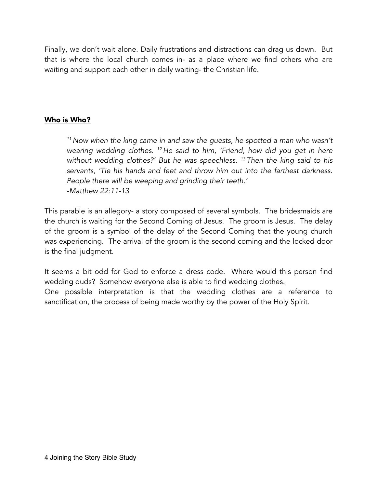Finally, we don't wait alone. Daily frustrations and distractions can drag us down. But that is where the local church comes in- as a place where we find others who are waiting and support each other in daily waiting- the Christian life.

#### Who is Who?

*<sup>11</sup> Now when the king came in and saw the guests, he spotted a man who wasn't wearing wedding clothes. 12 He said to him, 'Friend, how did you get in here without wedding clothes?' But he was speechless. 13 Then the king said to his servants, 'Tie his hands and feet and throw him out into the farthest darkness. People there will be weeping and grinding their teeth.' -Matthew 22:11-13*

This parable is an allegory- a story composed of several symbols. The bridesmaids are the church is waiting for the Second Coming of Jesus. The groom is Jesus. The delay of the groom is a symbol of the delay of the Second Coming that the young church was experiencing. The arrival of the groom is the second coming and the locked door is the final judgment.

It seems a bit odd for God to enforce a dress code. Where would this person find wedding duds? Somehow everyone else is able to find wedding clothes. One possible interpretation is that the wedding clothes are a reference to

sanctification, the process of being made worthy by the power of the Holy Spirit.